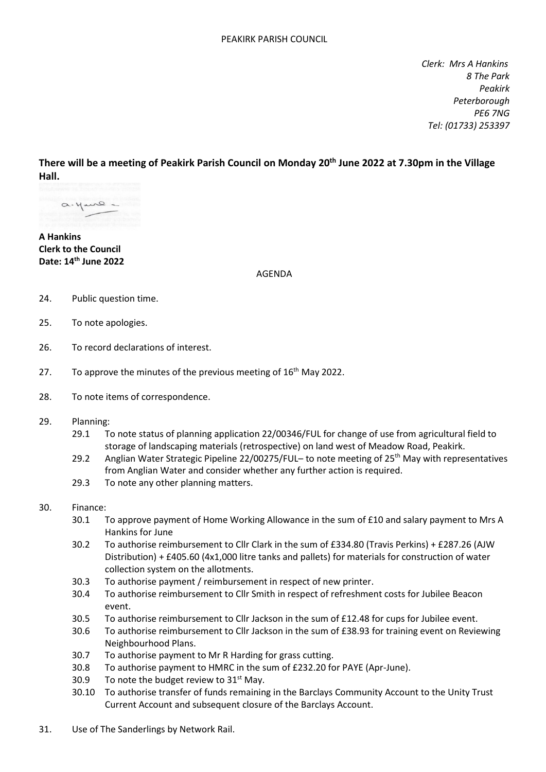*Clerk: Mrs A Hankins 8 The Park Peakirk Peterborough PE6 7NG Tel: (01733) 253397*

**There will be a meeting of Peakirk Parish Council on Monday 20th June 2022 at 7.30pm in the Village Hall.**

a. yare-

**A Hankins Clerk to the Council Date: 14 th June 2022**

AGENDA

- 24. Public question time.
- 25. To note apologies.
- 26. To record declarations of interest.
- 27. To approve the minutes of the previous meeting of  $16<sup>th</sup>$  May 2022.
- 28. To note items of correspondence.
- 29. Planning:
	- 29.1 To note status of planning application 22/00346/FUL for change of use from agricultural field to storage of landscaping materials (retrospective) on land west of Meadow Road, Peakirk.
	- 29.2 Anglian Water Strategic Pipeline 22/00275/FUL- to note meeting of 25<sup>th</sup> May with representatives from Anglian Water and consider whether any further action is required.
	- 29.3 To note any other planning matters.

## 30. Finance:

- 30.1 To approve payment of Home Working Allowance in the sum of £10 and salary payment to Mrs A Hankins for June
- 30.2 To authorise reimbursement to Cllr Clark in the sum of £334.80 (Travis Perkins) + £287.26 (AJW Distribution) + £405.60 (4x1,000 litre tanks and pallets) for materials for construction of water collection system on the allotments.
- 30.3 To authorise payment / reimbursement in respect of new printer.
- 30.4 To authorise reimbursement to Cllr Smith in respect of refreshment costs for Jubilee Beacon event.
- 30.5 To authorise reimbursement to Cllr Jackson in the sum of £12.48 for cups for Jubilee event.
- 30.6 To authorise reimbursement to Cllr Jackson in the sum of £38.93 for training event on Reviewing Neighbourhood Plans.
- 30.7 To authorise payment to Mr R Harding for grass cutting.
- 30.8 To authorise payment to HMRC in the sum of £232.20 for PAYE (Apr-June).
- 30.9 To note the budget review to  $31<sup>st</sup>$  May.
- 30.10 To authorise transfer of funds remaining in the Barclays Community Account to the Unity Trust Current Account and subsequent closure of the Barclays Account.
- 31. Use of The Sanderlings by Network Rail.